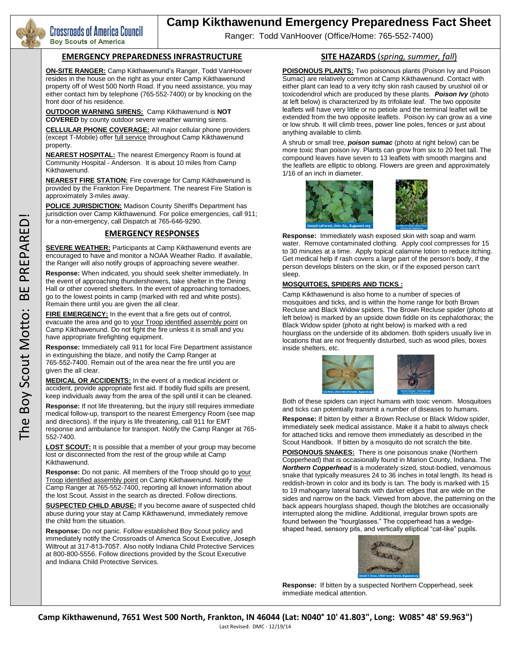

# **Camp Kikthawenund Emergency Preparedness Fact Sheet**

Ranger: Todd VanHoover (Office/Home: 765-552-7400)

#### **EMERGENCY PREPAREDNESS INFRASTRUCTURE**

**ON-SITE RANGER:** Camp Kikthawenund's Ranger, Todd VanHoover resides in the house on the right as your enter Camp Kikthawenund property off of West 500 North Road. If you need assistance, you may either contact him by telephone (765-552-7400) or by knocking on the front door of his residence.

**OUTDOOR WARNING SIRENS:** Camp Kikthawenund is **NOT COVERED** by county outdoor severe weather warning sirens.

**CELLULAR PHONE COVERAGE:** All major cellular phone providers (except T-Mobile) offer *full service* throughout Camp Kikthawenund property.

**NEAREST HOSPITAL:** The nearest Emergency Room is found at Community Hospital - Anderson. It is about 10 miles from Camp Kikthawenund.

**NEAREST FIRE STATION:** Fire coverage for Camp Kikthawenund is provided by the Frankton Fire Department. The nearest Fire Station is approximately 3-miles away.

**ICE JURISDICTION:** Madison County Sheriff's Department has jurisdiction over Camp Kikthawenund. For police emergencies, call 911; for a non-emergency, call Dispatch at 765-646-9290.

# **EMERGENCY RESPONSES**

**SEVERE WEATHER:** Participants at Camp Kikthawenund events are encouraged to have and monitor a NOAA Weather Radio. If available, the Ranger will also notify groups of approaching severe weather.

**Response:** When indicated, you should seek shelter immediately. In the event of approaching thundershowers, take shelter in the Dining Hall or other covered shelters. In the event of approaching tornadoes, go to the lowest points in camp (marked with red and white posts). Remain there until you are given the all clear.

**FIRE EMERGENCY:** In the event that a fire gets out of control, evacuate the area and go to your Troop identified assembly point on Camp Kikthawenund. Do not fight the fire unless it is small and you have appropriate firefighting equipment.

**Response:** Immediately call 911 for local Fire Department assistance in extinguishing the blaze, and notify the Camp Ranger at 765-552-7400. Remain out of the area near the fire until you are given the all clear.

**MEDICAL OR ACCIDENTS:** In the event of a medical incident or accident, provide appropriate first aid. If bodily fluid spills are present, keep individuals away from the area of the spill until it can be cleaned.

**Response:** If not life threatening, but the injury still requires immediate medical follow-up, transport to the nearest Emergency Room (see map and directions). If the injury is life threatening, call 911 for EMT response and ambulance for transport. Notify the Camp Ranger at 765- 552-7400.

**LOST SCOUT:** It is possible that a member of your group may become lost or disconnected from the rest of the group while at Camp Kikthawenund.

Response: Do not panic. All members of the Troop should go to your Troop identified assembly point on Camp Kikthawenund. Notify the Camp Ranger at 765-552-7400, reporting all known information about the lost Scout. Assist in the search as directed. Follow directions.

**SUSPECTED CHILD ABUSE:** If you become aware of suspected child abuse during your stay at Camp Kikthawenund, immediately remove the child from the situation.

**Response:** Do not panic. Follow established Boy Scout policy and immediately notify the Crossroads of America Scout Executive, Joseph Wiltrout at 317-813-7057. Also notify Indiana Child Protective Services at 800-800-5556. Follow directions provided by the Scout Executive and Indiana Child Protective Services.

### **SITE HAZARDS** (*spring, summer, fall*)

**POISONOUS PLANTS:** Two poisonous plants (Poison Ivy and Poison Sumac) are relatively common at Camp Kikthawenund. Contact with either plant can lead to a very itchy skin rash caused by urushiol oil or toxicodendrol which are produced by these plants. *Poison Ivy* (photo at left below) is characterized by its trifoliate leaf. The two opposite leaflets will have very little or no petiole and the terminal leaflet will be extended from the two opposite leaflets. Poison ivy can grow as a vine or low shrub. It will climb trees, power line poles, fences or just about anything available to climb.

A shrub or small tree, *poison sumac* (photo at right below) can be more toxic than poison ivy. Plants can grow from six to 20 feet tall. The compound leaves have seven to 13 leaflets with smooth margins and the leaflets are elliptic to oblong. Flowers are green and approximately 1/16 of an inch in diameter.



**Response:** Immediately wash exposed skin with soap and warm water. Remove contaminated clothing. Apply cool compresses for 15 to 30 minutes at a time. Apply topical calamine lotion to reduce itching. Get medical help if rash covers a large part of the person's body, if the person develops blisters on the skin, or if the exposed person can't sleep.

#### **MOSQUITOES, SPIDERS AND TICKS :**

Camp Kikthawenund is also home to a number of species of mosquitoes and ticks, and is within the home range for both Brown Recluse and Black Widow spiders. The Brown Recluse spider (photo at left below) is marked by an upside down fiddle on its cephalothorax; the Black Widow spider (photo at right below) is marked with a red hourglass on the underside of its abdomen. Both spiders usually live in locations that are not frequently disturbed, such as wood piles, boxes inside shelters, etc.



Both of these spiders can inject humans with toxic venom. Mosquitoes and ticks can potentially transmit a number of diseases to humans.

**Response:** If bitten by either a Brown Recluse or Black Widow spider, immediately seek medical assistance. Make it a habit to always check for attached ticks and remove them immediately as described in the Scout Handbook. If bitten by a mosquito do not scratch the bite.

**POISONOUS SNAKES:** There is one poisonous snake (Northern Copperhead) that is occasionally found in Marion County, Indiana. The *Northern Copperhead* is a moderately sized, stout-bodied, venomous snake that typically measures 24 to 36 inches in total length. Its head is reddish-brown in color and its body is tan. The body is marked with 15 to 19 mahogany lateral bands with darker edges that are wide on the sides and narrow on the back. Viewed from above, the patterning on the back appears hourglass shaped, though the blotches are occasionally interrupted along the midline. Additional, irregular brown spots are found between the "hourglasses." The copperhead has a wedgeshaped head, sensory pits, and vertically elliptical "cat-like" pupils.



**Response:** If bitten by a suspected Northern Copperhead, seek immediate medical attention.